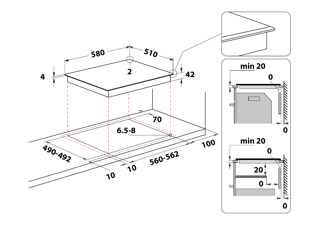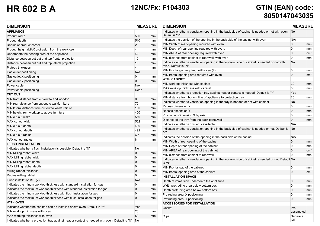# **HR 602 B A 12NC/Fx: F104303 GTIN (EAN) code: 8050147043035**

| <b>DIMENSION</b>                                                                                |      | <b>MEASURE</b> |  |
|-------------------------------------------------------------------------------------------------|------|----------------|--|
| <b>APPLIANCE</b>                                                                                |      |                |  |
| Product width                                                                                   | 580  | mm             |  |
| Product depth                                                                                   | 510  | mm             |  |
| Radius of product corner                                                                        | 2    | mm             |  |
| Product height (MAX protrusion from the worktop)                                                | 4    | mm             |  |
| Underneath the bearing area of the appliance                                                    | 42   | mm             |  |
| Distance between cut out and top frontal projection                                             | 10   | mm             |  |
| Distance between cut out and top lateral projection                                             | 10   | mm             |  |
| Plateau thickness                                                                               | 4    | mm             |  |
| Gas outlet positioning                                                                          | N/A  |                |  |
| Gas outlet X positioning                                                                        | 0    | mm             |  |
| Gas outlet Y positioning                                                                        | 0    | mm             |  |
| Power cable                                                                                     | N/A  |                |  |
| Power cable positioning                                                                         | Rear |                |  |
| <b>CUT OUT</b>                                                                                  |      |                |  |
| MIN front distance from cut-out to end worktop                                                  | 0    | mm             |  |
| MIN rear distance from cut out to wall/furniture                                                | 70   | mm             |  |
| MIN lateral distance from cut out to wall/furniture                                             | 100  | mm             |  |
| MIN height from worktop to above furniture                                                      | 400  | mm             |  |
| MIN cut out width                                                                               | 560  | mm             |  |
| MAX cut out width                                                                               | 562  | mm             |  |
| MIN cut out depth                                                                               | 490  | mm             |  |
| MAX cut out depth                                                                               | 492  | mm             |  |
| MIN cut out radius                                                                              | 6.5  | mm             |  |
| MAX cut out radius                                                                              | 8    | mm             |  |
| <b>FLUSH INSTALLATION</b>                                                                       |      |                |  |
| Indicates whether a flush installation is possible. Default is "N"                              | No   |                |  |
| MIN Milling rabbet width                                                                        | 0    | mm             |  |
| MAX Milling rabbet width                                                                        | 0    | mm             |  |
| MIN Milling rabbet depth                                                                        | 0    | mm             |  |
| MAX Milling rabbet depth                                                                        | 0    | mm             |  |
| Milling rabbet thickness                                                                        | 0    | mm             |  |
| Radius milling rabbet                                                                           | 0    | mm             |  |
| Flush installation KIT (2)                                                                      | N/A  |                |  |
| Indicates the minum worktop thickness with standard installation for gas                        | 0    | mm             |  |
| Indicates the maximum worktop thickness with standard installation for gas                      | 0    | mm             |  |
| Indicates the minum worktop thickness with flush installation for gas                           | 0    | mm             |  |
| Indicates the maximum worktop thickness with flush installation for gas                         | 0    | mm             |  |
| <b>WITH OVEN</b>                                                                                |      |                |  |
| Indicates whether the cooktop can be installed above oven. Default is "Y"                       | Yes  |                |  |
| MIN worktop thickness with oven                                                                 | 20   | mm             |  |
| MAX worktop thickness with oven                                                                 | 50   | mm             |  |
| Indicates whether a protection tray against heat or contact is needed with oven. Default is "N" | No   |                |  |

| <b>DIMENSION</b>                                                                                                       |                  | <b>MEASURE</b>  |  |
|------------------------------------------------------------------------------------------------------------------------|------------------|-----------------|--|
| Indicates whether a ventilation opening in the back side of cabinet is needed or not with oven.<br>Default is "Y"      | No               |                 |  |
| Indicates the position of the opening in the back side of the cabinet with oven                                        | N/A              |                 |  |
| MIN Width of rear opening required with oven                                                                           | 0                | mm              |  |
| MIN Depth of rear opening required with oven.                                                                          | $\mathbf{0}$     | mm              |  |
| MIN AREA of rear opening required with oven                                                                            | $\mathbf 0$      | cm <sup>2</sup> |  |
| MIN distance from cabinet to rear wall, with oven                                                                      | $\mathbf{0}$     | mm              |  |
| Indicates whether a ventilation opening in the top front side of cabinet is needed or not with<br>oven. Default is "N" | No               |                 |  |
| MIN Frontal gap required, with oven (2)                                                                                | 0                | mm              |  |
| MIN frontal opening area required with oven                                                                            | $\mathbf{0}$     | cm <sup>2</sup> |  |
| <b>WITH CABINET</b>                                                                                                    |                  |                 |  |
| MIN worktop thickness with cabinet                                                                                     | 20               | mm              |  |
| MAX worktop thickness with cabinet                                                                                     | 50               | mm              |  |
| Indicates whether a protection tray against heat or contact is needed. Default is "Y"                                  | Yes              |                 |  |
| MIN distance from bottom line of appliance to protection tray                                                          | 20               | mm              |  |
| Indicates whether a ventilation opening in the tray is needed or not with cabinet                                      | No               |                 |  |
| Recess dimension X                                                                                                     | 0                | mm              |  |
| Recess dimension Y                                                                                                     | $\mathbf 0$      | mm              |  |
| Positioning dimension X by axis                                                                                        | 0                | mm              |  |
| Distance of the tray from the back panel/wall                                                                          | $\mathbf{0}$     | mm              |  |
| Indicates whether a divider is available                                                                               | N/A              |                 |  |
| Indicates whether a ventilation opening in the back side of cabinet is needed or not. Default is<br>"Y"                | <b>No</b>        |                 |  |
| Indicates the position of the opening in the back side of the cabinet.                                                 | N/A              |                 |  |
| MIN Width of rear opening of the cabinet                                                                               | $\mathbf 0$      | mm              |  |
| MIN Depth of rear opening of the cabinet                                                                               | $\mathbf{0}$     | mm              |  |
| MIN AREA of rear opening of the cabinet                                                                                | $\mathbf 0$      | cm <sup>2</sup> |  |
| MIN distance from cabinet to rear wall                                                                                 | $\mathbf{0}$     | mm              |  |
| Indicates whether a ventilation opening in the top front side of cabinet is needed or not. Default No<br>is "N"        |                  |                 |  |
| MIN Frontal gap of the cabinet                                                                                         | 0                | mm              |  |
| MIN frontal opening area of the cabinet                                                                                | $\mathbf{0}$     | cm <sup>2</sup> |  |
| <b>INSTALLATION SPACE</b>                                                                                              |                  |                 |  |
| Depth of immersion underneath the appliance                                                                            | 0                | mm              |  |
| Width protruding area below bottom box                                                                                 | $\mathbf{0}$     | mm              |  |
| Depth protruding area below bottom box                                                                                 | $\mathbf 0$      | mm              |  |
| Protruding area: X positioning                                                                                         | 0                | mm              |  |
| Protruding area: Y positioning                                                                                         | $\mathbf{0}$     | mm              |  |
| <b>ACCESSORIES FOR INSTALLATION</b>                                                                                    |                  |                 |  |
| Gasket                                                                                                                 | Pre<br>assembled |                 |  |
| Clips                                                                                                                  | Separate<br>KIT  |                 |  |